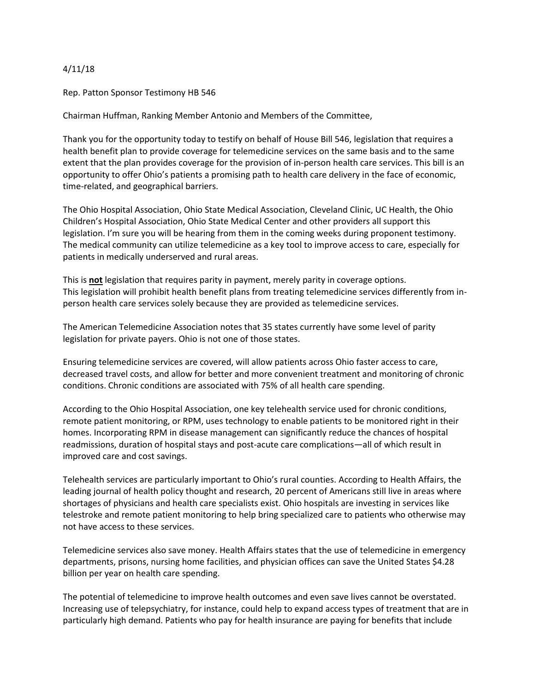## 4/11/18

Rep. Patton Sponsor Testimony HB 546

Chairman Huffman, Ranking Member Antonio and Members of the Committee,

Thank you for the opportunity today to testify on behalf of House Bill 546, legislation that requires a health benefit plan to provide coverage for telemedicine services on the same basis and to the same extent that the plan provides coverage for the provision of in-person health care services. This bill is an opportunity to offer Ohio's patients a promising path to health care delivery in the face of economic, time-related, and geographical barriers.

The Ohio Hospital Association, Ohio State Medical Association, Cleveland Clinic, UC Health, the Ohio Children's Hospital Association, Ohio State Medical Center and other providers all support this legislation. I'm sure you will be hearing from them in the coming weeks during proponent testimony. The medical community can utilize telemedicine as a key tool to improve access to care, especially for patients in medically underserved and rural areas.

This is **not** legislation that requires parity in payment, merely parity in coverage options. This legislation will prohibit health benefit plans from treating telemedicine services differently from inperson health care services solely because they are provided as telemedicine services.

The American Telemedicine Association notes that 35 states currently have some level of parity legislation for private payers. Ohio is not one of those states.

Ensuring telemedicine services are covered, will allow patients across Ohio faster access to care, decreased travel costs, and allow for better and more convenient treatment and monitoring of chronic conditions. Chronic conditions are associated with 75% of all health care spending.

According to the Ohio Hospital Association, one key telehealth service used for chronic conditions, remote patient monitoring, or RPM, uses technology to enable patients to be monitored right in their homes. Incorporating RPM in disease management can significantly reduce the chances of hospital readmissions, duration of hospital stays and post-acute care complications—all of which result in improved care and cost savings.

Telehealth services are particularly important to Ohio's rural counties. According to Health Affairs, the leading journal of health policy thought and research, 20 percent of Americans still live in areas where shortages of physicians and health care specialists exist. Ohio hospitals are investing in services like telestroke and remote patient monitoring to help bring specialized care to patients who otherwise may not have access to these services.

Telemedicine services also save money. Health Affairs states that the use of telemedicine in emergency departments, prisons, nursing home facilities, and physician offices can save the United States \$4.28 billion per year on health care spending.

The potential of telemedicine to improve health outcomes and even save lives cannot be overstated. Increasing use of telepsychiatry, for instance, could help to expand access types of treatment that are in particularly high demand. Patients who pay for health insurance are paying for benefits that include